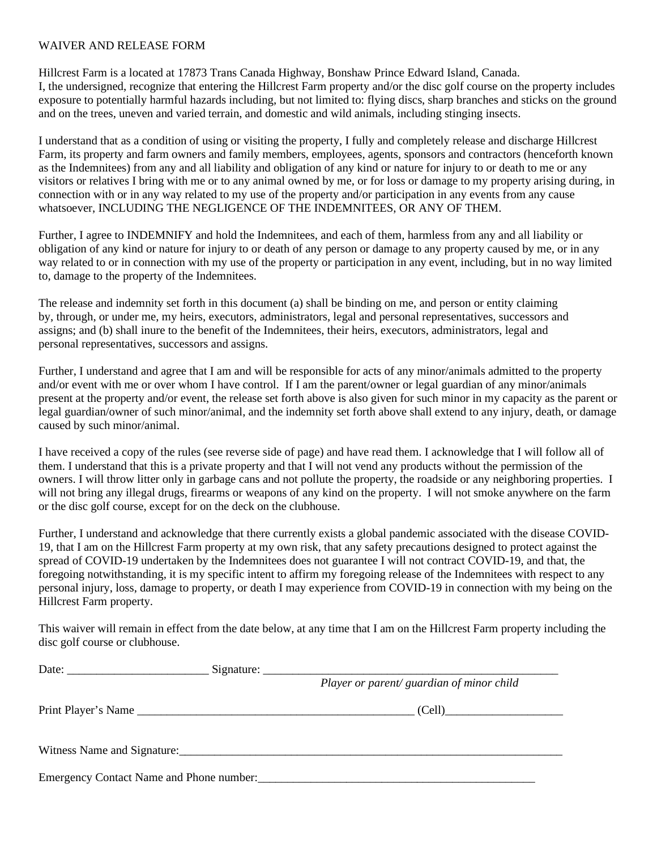## WAIVER AND RELEASE FORM

Hillcrest Farm is a located at 17873 Trans Canada Highway, Bonshaw Prince Edward Island, Canada. I, the undersigned, recognize that entering the Hillcrest Farm property and/or the disc golf course on the property includes exposure to potentially harmful hazards including, but not limited to: flying discs, sharp branches and sticks on the ground and on the trees, uneven and varied terrain, and domestic and wild animals, including stinging insects.

I understand that as a condition of using or visiting the property, I fully and completely release and discharge Hillcrest Farm, its property and farm owners and family members, employees, agents, sponsors and contractors (henceforth known as the Indemnitees) from any and all liability and obligation of any kind or nature for injury to or death to me or any visitors or relatives I bring with me or to any animal owned by me, or for loss or damage to my property arising during, in connection with or in any way related to my use of the property and/or participation in any events from any cause whatsoever, INCLUDING THE NEGLIGENCE OF THE INDEMNITEES, OR ANY OF THEM.

Further, I agree to INDEMNIFY and hold the Indemnitees, and each of them, harmless from any and all liability or obligation of any kind or nature for injury to or death of any person or damage to any property caused by me, or in any way related to or in connection with my use of the property or participation in any event, including, but in no way limited to, damage to the property of the Indemnitees.

The release and indemnity set forth in this document (a) shall be binding on me, and person or entity claiming by, through, or under me, my heirs, executors, administrators, legal and personal representatives, successors and assigns; and (b) shall inure to the benefit of the Indemnitees, their heirs, executors, administrators, legal and personal representatives, successors and assigns.

Further, I understand and agree that I am and will be responsible for acts of any minor/animals admitted to the property and/or event with me or over whom I have control. If I am the parent/owner or legal guardian of any minor/animals present at the property and/or event, the release set forth above is also given for such minor in my capacity as the parent or legal guardian/owner of such minor/animal, and the indemnity set forth above shall extend to any injury, death, or damage caused by such minor/animal.

I have received a copy of the rules (see reverse side of page) and have read them. I acknowledge that I will follow all of them. I understand that this is a private property and that I will not vend any products without the permission of the owners. I will throw litter only in garbage cans and not pollute the property, the roadside or any neighboring properties. I will not bring any illegal drugs, firearms or weapons of any kind on the property. I will not smoke anywhere on the farm or the disc golf course, except for on the deck on the clubhouse.

Further, I understand and acknowledge that there currently exists a global pandemic associated with the disease COVID-19, that I am on the Hillcrest Farm property at my own risk, that any safety precautions designed to protect against the spread of COVID-19 undertaken by the Indemnitees does not guarantee I will not contract COVID-19, and that, the foregoing notwithstanding, it is my specific intent to affirm my foregoing release of the Indemnitees with respect to any personal injury, loss, damage to property, or death I may experience from COVID-19 in connection with my being on the Hillcrest Farm property.

This waiver will remain in effect from the date below, at any time that I am on the Hillcrest Farm property including the disc golf course or clubhouse.

|                                          | Player or parent/ guardian of minor child |
|------------------------------------------|-------------------------------------------|
|                                          | (Cell)                                    |
|                                          |                                           |
| Emergency Contact Name and Phone number: |                                           |